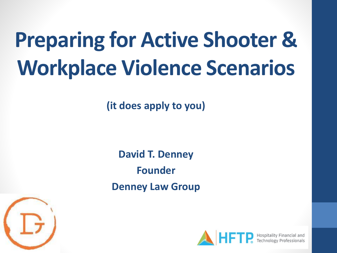# **Preparing for Active Shooter & Workplace Violence Scenarios**

**(it does apply to you)**

**David T. Denney Founder Denney Law Group**



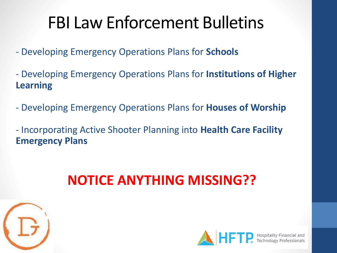### FBI Law Enforcement Bulletins

- Developing Emergency Operations Plans for **Schools**
- Developing Emergency Operations Plans for **Institutions of Higher Learning**
- Developing Emergency Operations Plans for **Houses of Worship**
- Incorporating Active Shooter Planning into **Health Care Facility Emergency Plans**

### **NOTICE ANYTHING MISSING??**



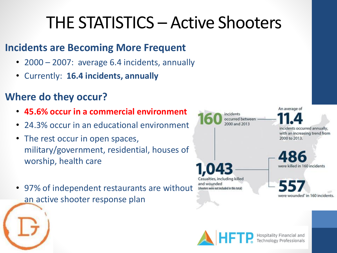### THE STATISTICS – Active Shooters

#### **Incidents are Becoming More Frequent**

- 2000 2007: average 6.4 incidents, annually
- Currently: **16.4 incidents, annually**

### **Where do they occur?**

- **45.6% occur in a commercial environment**
- 24.3% occur in an educational environment
- The rest occur in open spaces, military/government, residential, houses of worship, health care
- 97% of independent restaurants are without an active shooter response plan



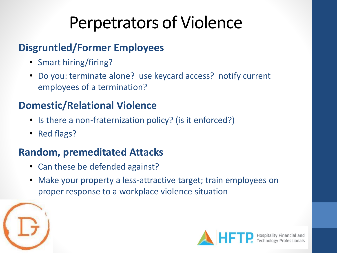### Perpetrators of Violence

### **Disgruntled/Former Employees**

- Smart hiring/firing?
- Do you: terminate alone? use keycard access? notify current employees of a termination?

### **Domestic/Relational Violence**

- Is there a non-fraternization policy? (is it enforced?)
- Red flags?

### **Random, premeditated Attacks**

- Can these be defended against?
- Make your property a less-attractive target; train employees on proper response to a workplace violence situation



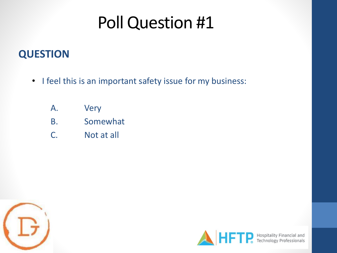### Poll Question #1

### **QUESTION**

- I feel this is an important safety issue for my business:
	- A. Very
	- B. Somewhat
	- C. Not at all



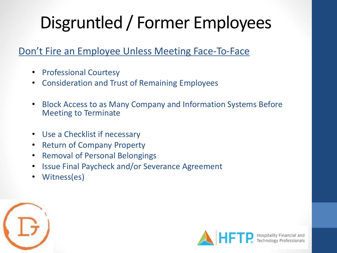#### Don't Fire an Employee Unless Meeting Face-To-Face

- Professional Courtesy
- Consideration and Trust of Remaining Employees
- Block Access to as Many Company and Information Systems Before Meeting to Terminate
- Use a Checklist if necessary
- Return of Company Property
- Removal of Personal Belongings
- Issue Final Paycheck and/or Severance Agreement
- Witness(es)



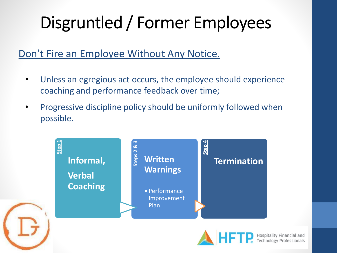#### Don't Fire an Employee Without Any Notice.

- Unless an egregious act occurs, the employee should experience coaching and performance feedback over time;
- Progressive discipline policy should be uniformly followed when possible.

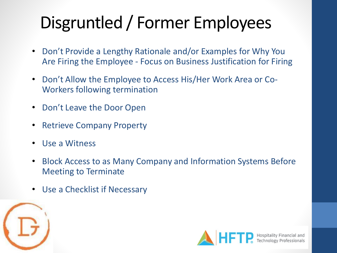- Don't Provide a Lengthy Rationale and/or Examples for Why You Are Firing the Employee - Focus on Business Justification for Firing
- Don't Allow the Employee to Access His/Her Work Area or Co-Workers following termination
- Don't Leave the Door Open
- Retrieve Company Property
- Use a Witness
- Block Access to as Many Company and Information Systems Before Meeting to Terminate
- Use a Checklist if Necessary



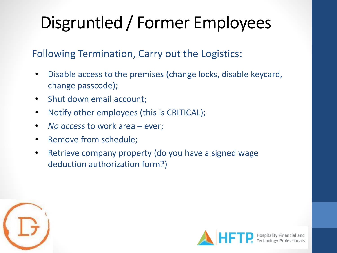#### Following Termination, Carry out the Logistics:

- Disable access to the premises (change locks, disable keycard, change passcode);
- Shut down email account;
- Notify other employees (this is CRITICAL);
- *No access* to work area ever;
- Remove from schedule;
- Retrieve company property (do you have a signed wage deduction authorization form?)



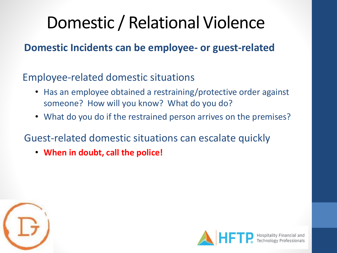### Domestic / Relational Violence

### **Domestic Incidents can be employee- or guest-related**

### Employee-related domestic situations

- Has an employee obtained a restraining/protective order against someone? How will you know? What do you do?
- What do you do if the restrained person arrives on the premises?

### Guest-related domestic situations can escalate quickly

• **When in doubt, call the police!**



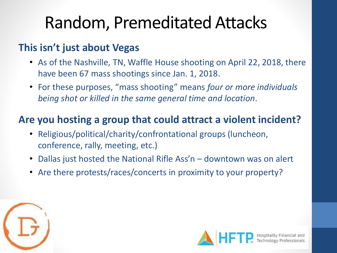### Random, Premeditated Attacks

### **This isn't just about Vegas**

- As of the Nashville, TN, Waffle House shooting on April 22, 2018, there have been 67 mass shootings since Jan. 1, 2018.
- For these purposes, "mass shooting" means *four or more individuals being shot or killed in the same general time and location*.

### **Are you hosting a group that could attract a violent incident?**

- Religious/political/charity/confrontational groups (luncheon, conference, rally, meeting, etc.)
- Dallas just hosted the National Rifle Ass'n downtown was on alert
- Are there protests/races/concerts in proximity to your property?



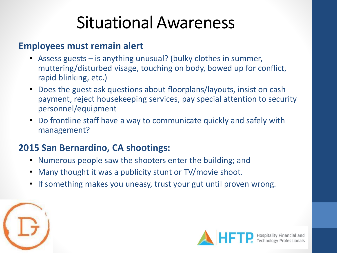### Situational Awareness

#### **Employees must remain alert**

- Assess guests  $-$  is anything unusual? (bulky clothes in summer, muttering/disturbed visage, touching on body, bowed up for conflict, rapid blinking, etc.)
- Does the guest ask questions about floorplans/layouts, insist on cash payment, reject housekeeping services, pay special attention to security personnel/equipment
- Do frontline staff have a way to communicate quickly and safely with management?

#### **2015 San Bernardino, CA shootings:**

- Numerous people saw the shooters enter the building; and
- Many thought it was a publicity stunt or TV/movie shoot.
- If something makes you uneasy, trust your gut until proven wrong.



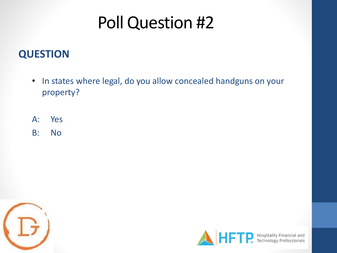### Poll Question #2

### **QUESTION**

- In states where legal, do you allow concealed handguns on your property?
- A: Yes
- B: No



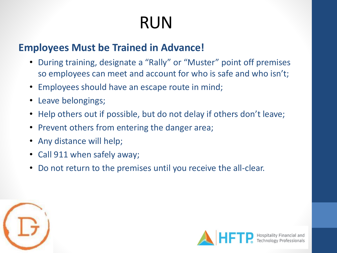# RUN

### **Employees Must be Trained in Advance!**

- During training, designate a "Rally" or "Muster" point off premises so employees can meet and account for who is safe and who isn't;
- Employees should have an escape route in mind;
- Leave belongings;
- Help others out if possible, but do not delay if others don't leave;
- Prevent others from entering the danger area;
- Any distance will help;
- Call 911 when safely away;
- Do not return to the premises until you receive the all-clear.



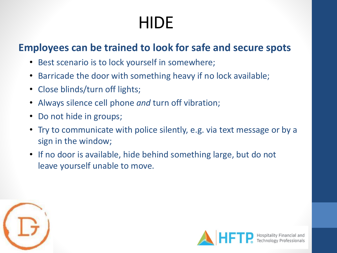# **HIDE**

#### **Employees can be trained to look for safe and secure spots**

- Best scenario is to lock yourself in somewhere;
- Barricade the door with something heavy if no lock available;
- Close blinds/turn off lights;
- Always silence cell phone *and* turn off vibration;
- Do not hide in groups;
- Try to communicate with police silently, e.g. via text message or by a sign in the window;
- If no door is available, hide behind something large, but do not leave yourself unable to move.



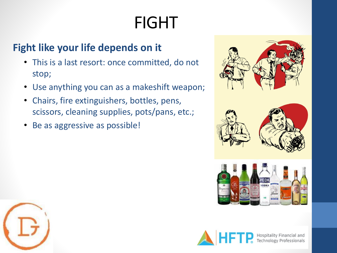# FIGHT

### **Fight like your life depends on it**

- This is a last resort: once committed, do not stop;
- Use anything you can as a makeshift weapon;
- Chairs, fire extinguishers, bottles, pens, scissors, cleaning supplies, pots/pans, etc.;
- Be as aggressive as possible!



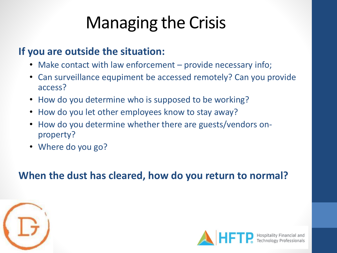# Managing the Crisis

#### **If you are outside the situation:**

- Make contact with law enforcement provide necessary info;
- Can surveillance equpiment be accessed remotely? Can you provide access?
- How do you determine who is supposed to be working?
- How do you let other employees know to stay away?
- How do you determine whether there are guests/vendors onproperty?
- Where do you go?

**When the dust has cleared, how do you return to normal?**



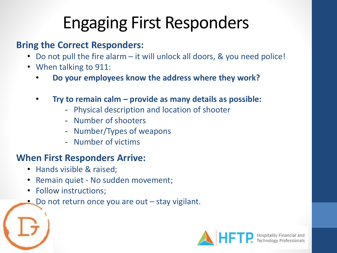# Engaging First Responders

#### **Bring the Correct Responders:**

- Do not pull the fire alarm it will unlock all doors, & you need police!
- When talking to 911:
	- **Do your employees know the address where they work?**
	- **Try to remain calm – provide as many details as possible:**
		- Physical description and location of shooter
		- Number of shooters
		- Number/Types of weapons
		- Number of victims

#### **When First Responders Arrive:**

- Hands visible & raised;
- Remain quiet No sudden movement;
- Follow instructions;
- Do not return once you are out stay vigilant.

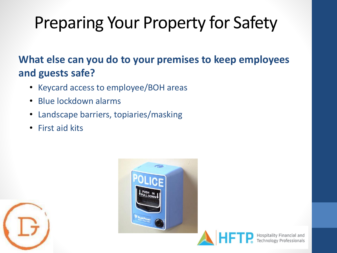# Preparing Your Property for Safety

### **What else can you do to your premises to keep employees and guests safe?**

- Keycard access to employee/BOH areas
- Blue lockdown alarms
- Landscape barriers, topiaries/masking
- First aid kits





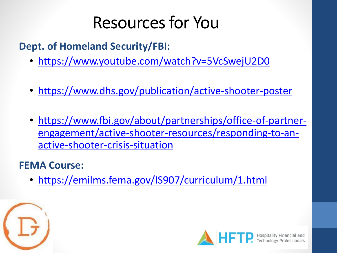### Resources for You

**Dept. of Homeland Security/FBI:**

- <https://www.youtube.com/watch?v=5VcSwejU2D0>
- <https://www.dhs.gov/publication/active-shooter-poster>
- https://www.fbi.gov/about/partnerships/office-of-partner[engagement/active-shooter-resources/responding-to-an](https://www.fbi.gov/about/partnerships/office-of-partner-engagement/active-shooter-resources/responding-to-an-active-shooter-crisis-situation)active-shooter-crisis-situation

### **FEMA Course:**

• <https://emilms.fema.gov/IS907/curriculum/1.html>



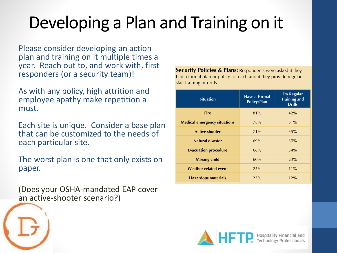# Developing a Plan and Training on it

Please consider developing an action plan and training on it multiple times a year. Reach out to, and work with, first responders (or a security team)!

As with any policy, high attrition and employee apathy make repetition a must.

Each site is unique. Consider a base plan that can be customized to the needs of each particular site.

The worst plan is one that only exists on paper.

(Does your OSHA-mandated EAP cover an active-shooter scenario?)

**Security Policies & Plans:** Respondents were asked if they had a formal plan or policy for each and if they provide regular staff training or drills.

| <b>Situation</b>                    | Have a Formal<br>Policy/Plan | Do Regular<br><b>Training and</b><br><b>Drills</b> |
|-------------------------------------|------------------------------|----------------------------------------------------|
| <b>Fire</b>                         | 81%                          | 42%                                                |
| <b>Medical emergency situations</b> | 78%                          | 51%                                                |
| <b>Active shooter</b>               | 71%                          | 35%                                                |
| <b>Natural disaster</b>             | 69%                          | 30%                                                |
| <b>Evacuation procedure</b>         | 68%                          | 34%                                                |
| <b>Missing child</b>                | 60%                          | 23%                                                |
| <b>Weather-related event</b>        | 25%                          | $11\%$                                             |
| <b>Hazardous materials</b>          | 23%                          | 12%                                                |